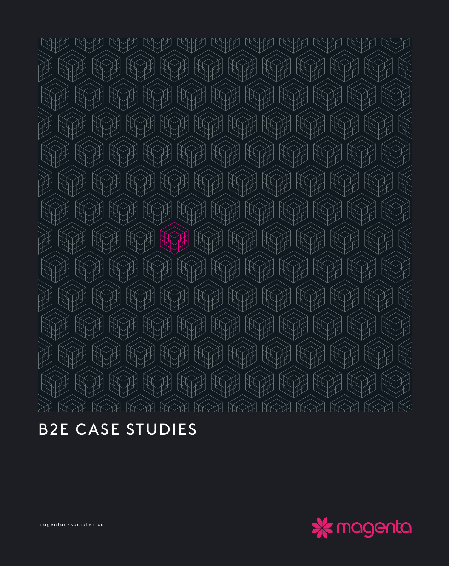WHA  $\bigcup$ **CANCE CALLED CALLED CANCE CANCE CANCE ANYA**  $\bigcirc$ WH  $\mathbb F$ W WH WH TH 71 **WHITE** W H **ROCHER SERVICE KOLAND** W WH W W W W **RAND** WH **ACTES** W W FF **WHITE KAN KOLLER KOLOR** W WA W **ROCHER SERVICE RAND KOHA** WH WH **KATE** WH W W S **ROCKERS** FA WH W WH  $\mathbb{Z}$  $\mathbb H$ 10 **ROCKERS** 渊 **ROCHER SERVICE KOLE** WH TH  $\left\{ \right.$ H **RAND** W **THE THE KOLAND**  $\mathcal{F}$  $\mathbb{W}$ 洳 WA **ROCHER SERVICE** W  $\mathbb{R}^2$ H **WHITE KATE KOLAND** W W  $\mathbb{R}$ WH **KOLANDER**  $\mathbb{R}$ **ROCHES**  $\mathbb{R}$ **KOLANDER**  $\mathbb{R}^n$  $\mathbb{R}$ WH  $\ll$  $\bigotimes$  $\bigotimes$  $K > 1$  $K > 1$ 

B2E CASE STUDIES



magentaassociates.co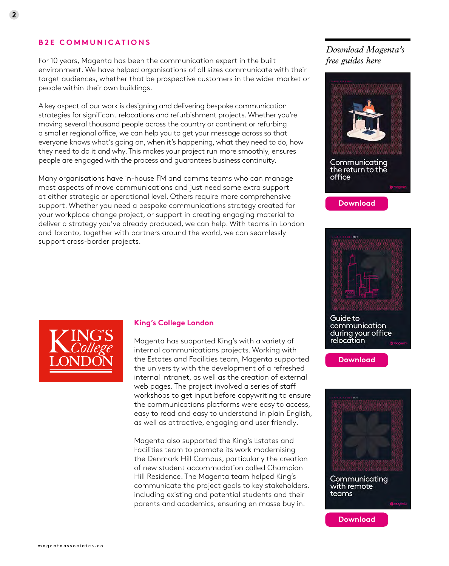## **B2E COMMUNICATIONS**

For 10 years, Magenta has been the communication expert in the built environment. We have helped organisations of all sizes communicate with their target audiences, whether that be prospective customers in the wider market or people within their own buildings.

A key aspect of our work is designing and delivering bespoke communication strategies for significant relocations and refurbishment projects. Whether you're moving several thousand people across the country or continent or refurbing a smaller regional office, we can help you to get your message across so that everyone knows what's going on, when it's happening, what they need to do, how they need to do it and why. This makes your project run more smoothly, ensures people are engaged with the process and guarantees business continuity.

Many organisations have in-house FM and comms teams who can manage most aspects of move communications and just need some extra support at either strategic or operational level. Others require more comprehensive support. Whether you need a bespoke communications strategy created for your workplace change project, or support in creating engaging material to deliver a strategy you've already produced, we can help. With teams in London and Toronto, together with partners around the world, we can seamlessly support cross-border projects.





**[Download](https://www.magentaassociates.co/wp-content/uploads/2021/07/Communicating-the-return-to-the-office-in-2021.pdf)**



Guide to communication during your office relocation





**[Download](https://www.magentaassociates.co/wp-content/uploads/2021/02/Comms-for-remote-teams.pdf)**



## **King's College London**

Magenta has supported King's with a variety of internal communications projects. Working with the Estates and Facilities team, Magenta supported the university with the development of a refreshed internal intranet, as well as the creation of external web pages. The project involved a series of staff workshops to get input before copywriting to ensure the communications platforms were easy to access, easy to read and easy to understand in plain English, as well as attractive, engaging and user friendly.

Magenta also supported the King's Estates and Facilities team to promote its work modernising the Denmark Hill Campus, particularly the creation of new student accommodation called Champion Hill Residence. The Magenta team helped King's communicate the project goals to key stakeholders, including existing and potential students and their parents and academics, ensuring en masse buy in.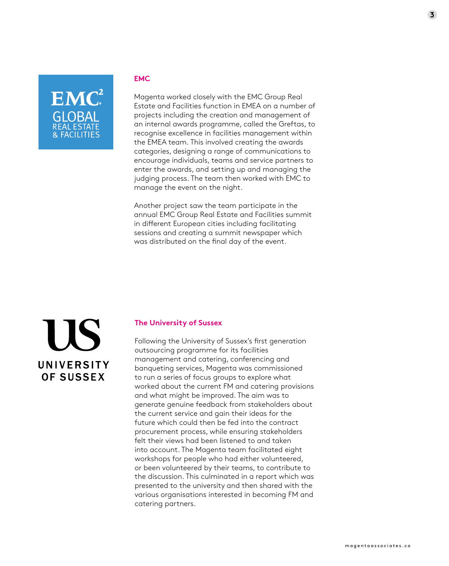

## **EMC**

Magenta worked closely with the EMC Group Real Estate and Facilities function in EMEA on a number of projects including the creation and management of an internal awards programme, called the Greftas, to recognise excellence in facilities management within the EMEA team. This involved creating the awards categories, designing a range of communications to encourage individuals, teams and service partners to enter the awards, and setting up and managing the judging process. The team then worked with EMC to manage the event on the night.

Another project saw the team participate in the annual EMC Group Real Estate and Facilities summit in different European cities including facilitating sessions and creating a summit newspaper which was distributed on the final day of the event.



## **The University of Sussex**

Following the University of Sussex's first generation outsourcing programme for its facilities management and catering, conferencing and banqueting services, Magenta was commissioned to run a series of focus groups to explore what worked about the current FM and catering provisions and what might be improved. The aim was to generate genuine feedback from stakeholders about the current service and gain their ideas for the future which could then be fed into the contract procurement process, while ensuring stakeholders felt their views had been listened to and taken into account. The Magenta team facilitated eight workshops for people who had either volunteered, or been volunteered by their teams, to contribute to the discussion. This culminated in a report which was presented to the university and then shared with the various organisations interested in becoming FM and catering partners.